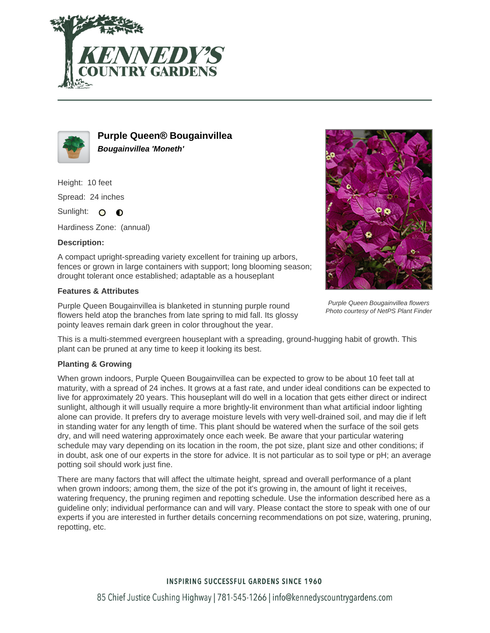



**Purple Queen® Bougainvillea Bougainvillea 'Moneth'**

Height: 10 feet Spread: 24 inches Sunlight: O **O** 

Hardiness Zone: (annual)

## **Description:**

A compact upright-spreading variety excellent for training up arbors, fences or grown in large containers with support; long blooming season; drought tolerant once established; adaptable as a houseplant

## **Features & Attributes**

Purple Queen Bougainvillea is blanketed in stunning purple round flowers held atop the branches from late spring to mid fall. Its glossy pointy leaves remain dark green in color throughout the year.



Purple Queen Bougainvillea flowers Photo courtesy of NetPS Plant Finder

This is a multi-stemmed evergreen houseplant with a spreading, ground-hugging habit of growth. This plant can be pruned at any time to keep it looking its best.

## **Planting & Growing**

When grown indoors, Purple Queen Bougainvillea can be expected to grow to be about 10 feet tall at maturity, with a spread of 24 inches. It grows at a fast rate, and under ideal conditions can be expected to live for approximately 20 years. This houseplant will do well in a location that gets either direct or indirect sunlight, although it will usually require a more brightly-lit environment than what artificial indoor lighting alone can provide. It prefers dry to average moisture levels with very well-drained soil, and may die if left in standing water for any length of time. This plant should be watered when the surface of the soil gets dry, and will need watering approximately once each week. Be aware that your particular watering schedule may vary depending on its location in the room, the pot size, plant size and other conditions; if in doubt, ask one of our experts in the store for advice. It is not particular as to soil type or pH; an average potting soil should work just fine.

There are many factors that will affect the ultimate height, spread and overall performance of a plant when grown indoors; among them, the size of the pot it's growing in, the amount of light it receives, watering frequency, the pruning regimen and repotting schedule. Use the information described here as a guideline only; individual performance can and will vary. Please contact the store to speak with one of our experts if you are interested in further details concerning recommendations on pot size, watering, pruning, repotting, etc.

## **INSPIRING SUCCESSFUL GARDENS SINCE 1960**